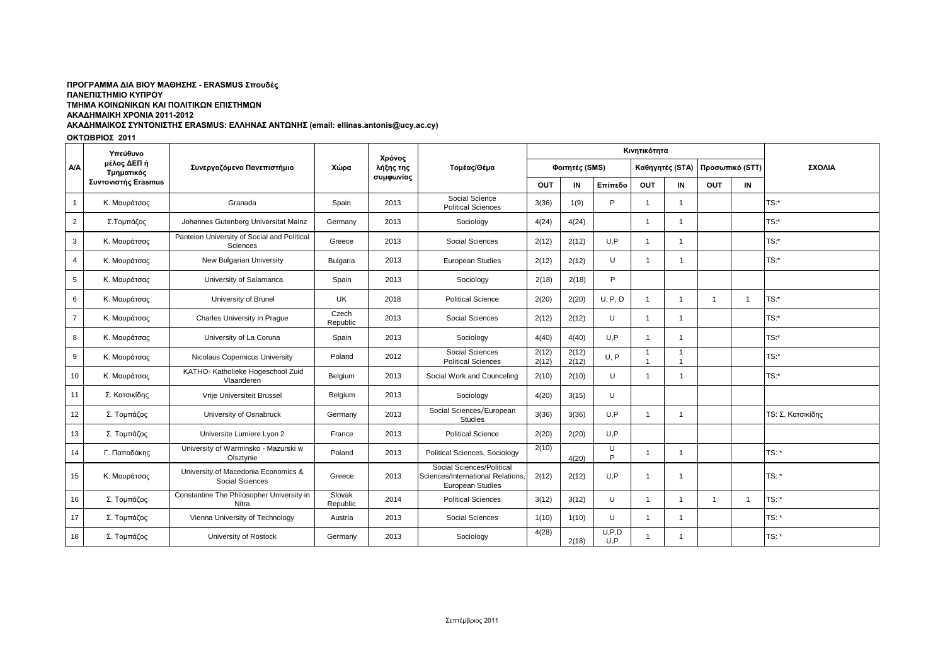### ΑΚΑΔΗΜΑΙΚΟΣ ΣΥΝΤΟΝΙΣΤΗΣ ERASMUS: ΕΛΛΗΝΑΣ ΑΝΤΩΝΗΣ (email: ellinas.antonis@ucy.ac.cy) ΠΡΟΓΡΑΜΜΑ ΔΙΑ ΒΙΟΥ ΜΑΘΗΣΗΣ - ERASMUS Σπουδές **ΠΑΝΔΠΙΣΗΜΙΟ ΚΤΠΡΟΤ ΣΜΗΜΑ ΚΟΙΝΩΝΙΚΩΝ ΚΑΙ ΠΟΛΙΣΙΚΩΝ ΔΠΙΣΗΜΩΝ ΑΚΑΔΗΜΑΙΚΗ ΧΡΟΝΙΑ 2011-2012**

#### ΟΚΤΩΒΡΙΟΣ 2011

|                 | Υπεύθυνο<br>μέλος ΔΕΠ ή<br>Τμηματικός | Συνεργαζόμενο Πανεπιστήμιο                              | Χώρα               | Χρόνος<br>λήξης της<br>συμφωνίας | Τομέας/Θέμα                                                                        |                |                | Κινητικότητα   |                 |                         |                 |                |                   |
|-----------------|---------------------------------------|---------------------------------------------------------|--------------------|----------------------------------|------------------------------------------------------------------------------------|----------------|----------------|----------------|-----------------|-------------------------|-----------------|----------------|-------------------|
| <b>A/A</b>      |                                       |                                                         |                    |                                  |                                                                                    | Φοιτητές (SMS) |                |                | Καθηγητές (STA) |                         | Προσωπικό (STT) |                | ΣΧΟΛΙΑ            |
|                 | Συντονιστής Erasmus                   |                                                         |                    |                                  |                                                                                    | <b>OUT</b>     | IN             | Επίπεδο        | <b>OUT</b>      | IN                      | OUT             | IN             |                   |
| $\overline{1}$  | Κ. Μαυράτσας                          | Granada                                                 | Spain              | 2013                             | Social Science<br><b>Political Sciences</b>                                        | 3(36)          | 1(9)           | P              |                 | -1                      |                 |                | TS:*              |
| 2               | Σ.Τομπάζος                            | Johannes Gutenberg Universitat Mainz                    | Germany            | 2013                             | Sociology                                                                          | 4(24)          | 4(24)          |                | $\mathbf 1$     | -1                      |                 |                | $TS:$ *           |
| 3               | Κ. Μαυράτσας                          | Panteion University of Social and Political<br>Sciences | Greece             | 2013                             | <b>Social Sciences</b>                                                             | 2(12)          | 2(12)          | U.P            |                 |                         |                 |                | TS:*              |
| $\overline{4}$  | Κ. Μαυράτσας                          | New Bulgarian University                                | Bulgaria           | 2013                             | European Studies                                                                   | 2(12)          | 2(12)          | U              | -1              | $\mathbf{1}$            |                 |                | $TS:$ *           |
| $5\phantom{.0}$ | Κ. Μαυράτσας                          | University of Salamanca                                 | Spain              | 2013                             | Sociology                                                                          | 2(18)          | 2(18)          | P              |                 |                         |                 |                |                   |
| 6               | Κ. Μαυράτσας                          | University of Brunel                                    | UK                 | 2018                             | <b>Political Science</b>                                                           | 2(20)          | 2(20)          | U, P, D        | 1               | -1                      | $\overline{1}$  | $\overline{1}$ | TS:*              |
| $\overline{7}$  | Κ. Μαυράτσας                          | Charles University in Praque                            | Czech<br>Republic  | 2013                             | Social Sciences                                                                    | 2(12)          | 2(12)          | U              | 1               | -1                      |                 |                | TS:*              |
| 8               | Κ. Μαυράτσας                          | University of La Coruna                                 | Spain              | 2013                             | Sociology                                                                          | 4(40)          | 4(40)          | U.P            | -1              | -1                      |                 |                | $TS:$ *           |
| 9               | Κ. Μαυράτσας                          | Nicolaus Copernicus University                          | Poland             | 2012                             | Social Sciences<br><b>Political Sciences</b>                                       | 2(12)<br>2(12) | 2(12)<br>2(12) | U. P           | $\overline{1}$  | -1                      |                 |                | TS:*              |
| 10              | Κ. Μαυράτσας                          | KATHO- Katholieke Hogeschool Zuid<br>Vlaanderen         | Belgium            | 2013                             | Social Work and Counceling                                                         | 2(10)          | 2(10)          | U              |                 | $\overline{\mathbf{1}}$ |                 |                | TS:*              |
| 11              | Σ. Κατσικίδης                         | Vrije Universiteit Brussel                              | Belgium            | 2013                             | Sociology                                                                          | 4(20)          | 3(15)          | U              |                 |                         |                 |                |                   |
| 12              | Σ. Τομπάζος                           | University of Osnabruck                                 | Germany            | 2013                             | Social Sciences/European<br>Studies                                                | 3(36)          | 3(36)          | U.P            |                 |                         |                 |                | TS: Σ. Κατσικίδης |
| 13              | Σ. Τομπάζος                           | Universite Lumiere Lyon 2                               | France             | 2013                             | <b>Political Science</b>                                                           | 2(20)          | 2(20)          | U.P            |                 |                         |                 |                |                   |
| 14              | Γ. Παπαδάκης                          | University of Warminsko - Mazurski w<br>Olsztynie       | Poland             | 2013                             | Political Sciences, Sociology                                                      | 2(10)          | 4(20)          | U<br>P         | -1              | -1                      |                 |                | TS:               |
| 15              | Κ. Μαυράτσας                          | University of Macedonia Economics &<br>Social Sciences  | Greece             | 2013                             | Social Sciences/Political<br>Sciences/International Relations.<br>European Studies | 2(12)          | 2(12)          | U.P            | -1              |                         |                 |                | TS:               |
| 16              | Σ. Τομπάζος                           | Constantine The Philosopher University in<br>Nitra      | Slovak<br>Republic | 2014                             | <b>Political Sciences</b>                                                          | 3(12)          | 3(12)          | U              | -1              | -1                      | $\overline{1}$  | -1             | $TS:$ *           |
| 17              | Σ. Τομπάζος                           | Vienna University of Technology                         | Austria            | 2013                             | Social Sciences                                                                    | 1(10)          | 1(10)          | U              | -1              | -1                      |                 |                | TS:               |
| 18              | Σ. Τομπάζος                           | University of Rostock                                   | Germany            | 2013                             | Sociology                                                                          | 4(28)          | 2(18)          | U, P, D<br>U.P | -1              |                         |                 |                | $TS:$ *           |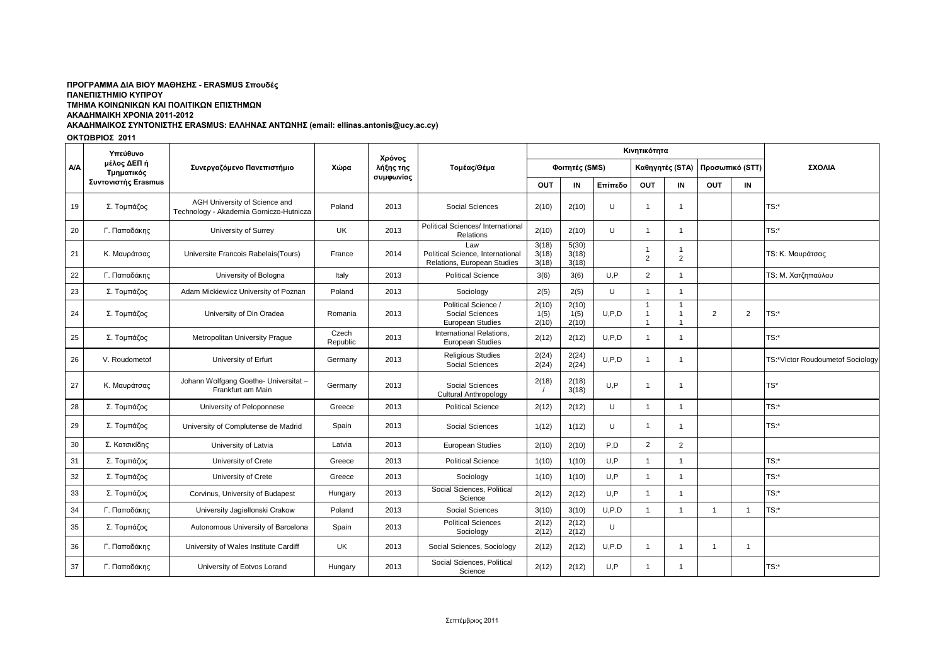## ΠΡΟΓΡΑΜΜΑ ΔΙΑ ΒΙΟΥ ΜΑΘΗΣΗΣ - ERASMUS Σπουδές **ΠΑΝΔΠΙΣΗΜΙΟ ΚΤΠΡΟΤ ΣΜΗΜΑ ΚΟΙΝΩΝΙΚΩΝ ΚΑΙ ΠΟΛΙΣΙΚΩΝ ΔΠΙΣΗΜΩΝ ΑΚΑΔΗΜΑΙΚΗ ΧΡΟΝΙΑ 2011-2012**

# ΑΚΑΔΗΜΑΙΚΟΣ ΣΥΝΤΟΝΙΣΤΗΣ ERASMUS: ΕΛΛΗΝΑΣ ΑΝΤΩΝΗΣ (email: ellinas.antonis@ucy.ac.cy)

## ΟΚΤΩΒΡΙΟΣ 2011

|     | Υπεύθυνο<br>μέλος ΔΕΠ ή<br>Τμηματικός<br>Συντονιστής Erasmus | Συνεργαζόμενο Πανεπιστήμιο                                               | Χώρα              | Χρόνος<br>λήξης της<br>συμφωνίας | Τομέας/Θέμα                                                            |                         |                         | Κινητικότητα |                                  |                                |                 |                |                                  |
|-----|--------------------------------------------------------------|--------------------------------------------------------------------------|-------------------|----------------------------------|------------------------------------------------------------------------|-------------------------|-------------------------|--------------|----------------------------------|--------------------------------|-----------------|----------------|----------------------------------|
| A/A |                                                              |                                                                          |                   |                                  |                                                                        | Φοιτητές (SMS)          |                         |              |                                  | Καθηγητές (STA)                | Προσωπικό (STT) |                | ΣΧΟΛΙΑ                           |
|     |                                                              |                                                                          |                   |                                  |                                                                        | OUT                     | IN                      | Επίπεδο      | <b>OUT</b>                       | IN                             | <b>OUT</b>      | IN             |                                  |
| 19  | Σ. Τομπάζος                                                  | AGH University of Science and<br>Technology - Akademia Gorniczo-Hutnicza | Poland            | 2013                             | Social Sciences                                                        | 2(10)                   | 2(10)                   | U            | -1                               | $\mathbf 1$                    |                 |                | TS:                              |
| 20  | Γ. Παπαδάκης                                                 | University of Surrey                                                     | UK                | 2013                             | Political Sciences/ International<br>Relations                         | 2(10)                   | 2(10)                   | U            | -1                               | $\overline{1}$                 |                 |                | $TS:$ *                          |
| 21  | Κ. Μαυράτσας                                                 | Universite Francois Rabelais (Tours)                                     | France            | 2014                             | Law<br>Political Science, International<br>Relations, European Studies | 3(18)<br>3(18)<br>3(18) | 5(30)<br>3(18)<br>3(18) |              | $\overline{2}$                   | -1<br>$\overline{2}$           |                 |                | TS: Κ. Μαυράτσας                 |
| 22  | Γ. Παπαδάκης                                                 | University of Bologna                                                    | Italy             | 2013                             | <b>Political Science</b>                                               | 3(6)                    | 3(6)                    | U.P          | $\overline{2}$                   | -1                             |                 |                | TS: Μ. Χατζηπαύλου               |
| 23  | Σ. Τομπάζος                                                  | Adam Mickiewicz University of Poznan                                     | Poland            | 2013                             | Sociology                                                              | 2(5)                    | 2(5)                    | $\cup$       | $\overline{1}$                   | $\mathbf{1}$                   |                 |                |                                  |
| 24  | Σ. Τομπάζος                                                  | University of Din Oradea                                                 | Romania           | 2013                             | Political Science /<br>Social Sciences<br><b>European Studies</b>      | 2(10)<br>1(5)<br>2(10)  | 2(10)<br>1(5)<br>2(10)  | U, P, D      | $\overline{1}$<br>$\overline{1}$ | $\overline{1}$<br>$\mathbf{1}$ | $\overline{2}$  | 2              | TS:*                             |
| 25  | Σ. Τομπάζος                                                  | Metropolitan University Prague                                           | Czech<br>Republic | 2013                             | International Relations,<br>European Studies                           | 2(12)                   | 2(12)                   | U, P, D      | -1                               | -1                             |                 |                | TS:*                             |
| 26  | V. Roudometof                                                | University of Erfurt                                                     | Germany           | 2013                             | <b>Religious Studies</b><br>Social Sciences                            | 2(24)<br>2(24)          | 2(24)<br>2(24)          | U.P.D        | -1                               | $\mathbf 1$                    |                 |                | TS:*Victor Roudoumetof Sociology |
| 27  | Κ. Μαυράτσας                                                 | Johann Wolfgang Goethe- Universitat -<br>Frankfurt am Main               | Germany           | 2013                             | Social Sciences<br><b>Cultural Anthropology</b>                        | 2(18)                   | 2(18)<br>3(18)          | U.P          | -1                               | $\overline{1}$                 |                 |                | TS*                              |
| 28  | Σ. Τομπάζος                                                  | University of Peloponnese                                                | Greece            | 2013                             | <b>Political Science</b>                                               | 2(12)                   | 2(12)                   | U            | $\mathbf{1}$                     | $\mathbf{1}$                   |                 |                | TS:                              |
| 29  | Σ. Τομπάζος                                                  | University of Complutense de Madrid                                      | Spain             | 2013                             | Social Sciences                                                        | 1(12)                   | 1(12)                   | U            | -1                               | -1                             |                 |                | TS:*                             |
| 30  | Σ. Κατσικίδης                                                | University of Latvia                                                     | Latvia            | 2013                             | <b>European Studies</b>                                                | 2(10)                   | 2(10)                   | P.D          | 2                                | 2                              |                 |                |                                  |
| 31  | Σ. Τομπάζος                                                  | University of Crete                                                      | Greece            | 2013                             | <b>Political Science</b>                                               | 1(10)                   | 1(10)                   | U.P          | -1                               | -1                             |                 |                | TS:*                             |
| 32  | Σ. Τομπάζος                                                  | University of Crete                                                      | Greece            | 2013                             | Sociology                                                              | 1(10)                   | 1(10)                   | U.P          | $\overline{1}$                   | $\overline{1}$                 |                 |                | TS:*                             |
| 33  | Σ. Τομπάζος                                                  | Corvinus, University of Budapest                                         | Hungary           | 2013                             | Social Sciences, Political<br>Science                                  | 2(12)                   | 2(12)                   | U.P          | -1                               | $\overline{1}$                 |                 |                | TS:                              |
| 34  | Γ. Παπαδάκης                                                 | University Jagiellonski Crakow                                           | Poland            | 2013                             | Social Sciences                                                        | 3(10)                   | 3(10)                   | U, P.D       | -1                               |                                | $\overline{1}$  |                | TS:                              |
| 35  | Σ. Τομπάζος                                                  | Autonomous University of Barcelona                                       | Spain             | 2013                             | <b>Political Sciences</b><br>Sociology                                 | 2(12)<br>2(12)          | 2(12)<br>2(12)          | U            |                                  |                                |                 |                |                                  |
| 36  | Γ. Παπαδάκης                                                 | University of Wales Institute Cardiff                                    | UK                | 2013                             | Social Sciences, Sociology                                             | 2(12)                   | 2(12)                   | U, P.D       | $\mathbf 1$                      | -1                             | $\overline{1}$  | $\overline{1}$ |                                  |
| 37  | Γ. Παπαδάκης                                                 | University of Eotvos Lorand                                              | Hungary           | 2013                             | Social Sciences, Political<br>Science                                  | 2(12)                   | 2(12)                   | U.P          | -1                               | -1                             |                 |                | $TS:$ *                          |